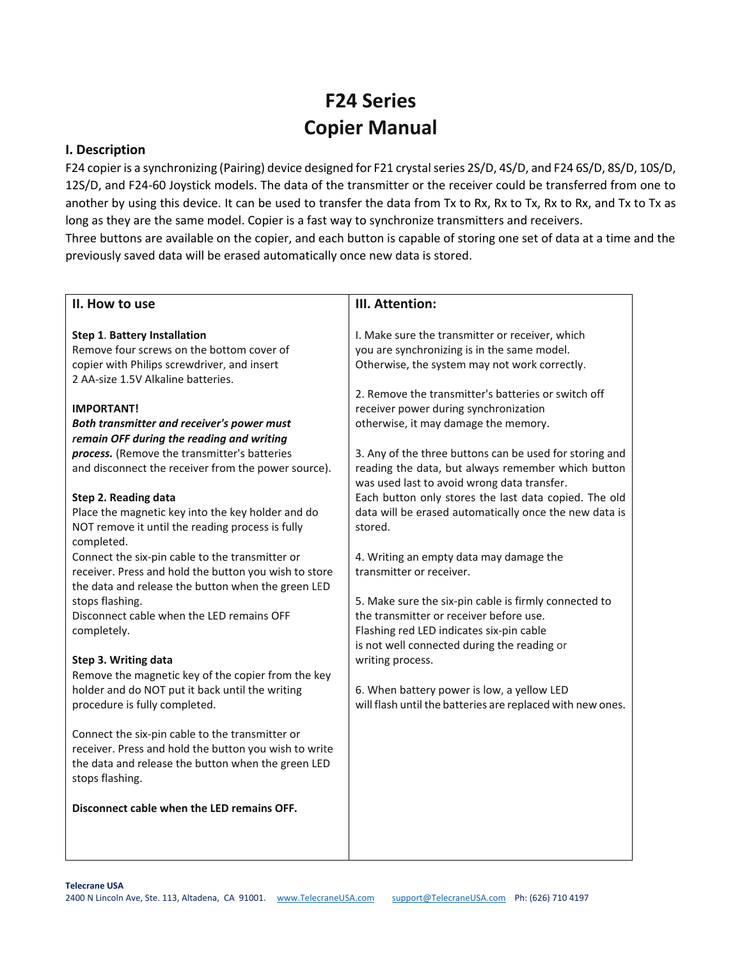## **F24 Series Copier Manual**

## **I. Description**

F24 copier is a synchronizing (Pairing) device designed for F21 crystal series 2S/D, 4S/D, and F24 6S/D, 8S/D, 10S/D, 12S/D, and F24-60 Joystick models. The data of the transmitter or the receiver could be transferred from one to another by using this device. It can be used to transfer the data from Tx to Rx, Rx to Tx, Rx to Rx, and Tx to Tx as long as they are the same model. Copier is a fast way to synchronize transmitters and receivers.

Three buttons are available on the copier, and each button is capable of storing one set of data at a time and the previously saved data will be erased automatically once new data is stored.

| II. How to use                                                            | III. Attention:                                                                                   |
|---------------------------------------------------------------------------|---------------------------------------------------------------------------------------------------|
|                                                                           |                                                                                                   |
| <b>Step 1. Battery Installation</b>                                       | I. Make sure the transmitter or receiver, which                                                   |
| Remove four screws on the bottom cover of                                 | you are synchronizing is in the same model.                                                       |
| copier with Philips screwdriver, and insert                               | Otherwise, the system may not work correctly.                                                     |
| 2 AA-size 1.5V Alkaline batteries.                                        |                                                                                                   |
|                                                                           | 2. Remove the transmitter's batteries or switch off                                               |
| <b>IMPORTANT!</b>                                                         | receiver power during synchronization                                                             |
| Both transmitter and receiver's power must                                | otherwise, it may damage the memory.                                                              |
| remain OFF during the reading and writing                                 |                                                                                                   |
| process. (Remove the transmitter's batteries                              | 3. Any of the three buttons can be used for storing and                                           |
| and disconnect the receiver from the power source).                       | reading the data, but always remember which button<br>was used last to avoid wrong data transfer. |
|                                                                           | Each button only stores the last data copied. The old                                             |
| Step 2. Reading data<br>Place the magnetic key into the key holder and do | data will be erased automatically once the new data is                                            |
| NOT remove it until the reading process is fully                          | stored.                                                                                           |
| completed.                                                                |                                                                                                   |
| Connect the six-pin cable to the transmitter or                           | 4. Writing an empty data may damage the                                                           |
| receiver. Press and hold the button you wish to store                     | transmitter or receiver.                                                                          |
| the data and release the button when the green LED                        |                                                                                                   |
| stops flashing.                                                           | 5. Make sure the six-pin cable is firmly connected to                                             |
| Disconnect cable when the LED remains OFF                                 | the transmitter or receiver before use.                                                           |
| completely.                                                               | Flashing red LED indicates six-pin cable                                                          |
|                                                                           | is not well connected during the reading or                                                       |
| Step 3. Writing data                                                      | writing process.                                                                                  |
| Remove the magnetic key of the copier from the key                        |                                                                                                   |
| holder and do NOT put it back until the writing                           | 6. When battery power is low, a yellow LED                                                        |
| procedure is fully completed.                                             | will flash until the batteries are replaced with new ones.                                        |
|                                                                           |                                                                                                   |
| Connect the six-pin cable to the transmitter or                           |                                                                                                   |
| receiver. Press and hold the button you wish to write                     |                                                                                                   |
| the data and release the button when the green LED<br>stops flashing.     |                                                                                                   |
|                                                                           |                                                                                                   |
| Disconnect cable when the LED remains OFF.                                |                                                                                                   |
|                                                                           |                                                                                                   |
|                                                                           |                                                                                                   |